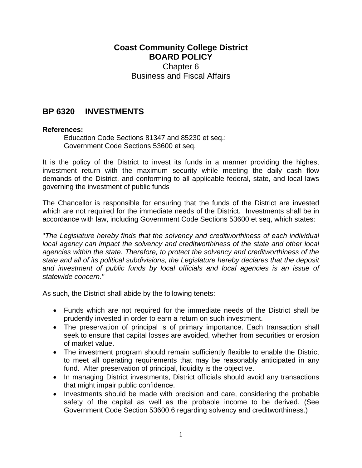# **Coast Community College District BOARD POLICY** Chapter 6 Business and Fiscal Affairs

# **BP 6320 INVESTMENTS**

#### **References:**

Education Code Sections 81347 and 85230 et seq.; Government Code Sections 53600 et seq.

It is the policy of the District to invest its funds in a manner providing the highest investment return with the maximum security while meeting the daily cash flow demands of the District, and conforming to all applicable federal, state, and local laws governing the investment of public funds

The Chancellor is responsible for ensuring that the funds of the District are invested which are not required for the immediate needs of the District. Investments shall be in accordance with law, including Government Code Sections 53600 et seq, which states:

"*The Legislature hereby finds that the solvency and creditworthiness of each individual local agency can impact the solvency and creditworthiness of the state and other local agencies within the state. Therefore, to protect the solvency and creditworthiness of the state and all of its political subdivisions, the Legislature hereby declares that the deposit and investment of public funds by local officials and local agencies is an issue of statewide concern."*

As such, the District shall abide by the following tenets:

- Funds which are not required for the immediate needs of the District shall be prudently invested in order to earn a return on such investment.
- The preservation of principal is of primary importance. Each transaction shall seek to ensure that capital losses are avoided, whether from securities or erosion of market value.
- The investment program should remain sufficiently flexible to enable the District to meet all operating requirements that may be reasonably anticipated in any fund. After preservation of principal, liquidity is the objective.
- In managing District investments, District officials should avoid any transactions that might impair public confidence.
- Investments should be made with precision and care, considering the probable safety of the capital as well as the probable income to be derived. (See Government Code Section 53600.6 regarding solvency and creditworthiness.)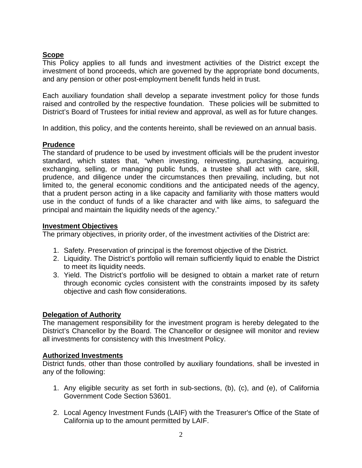## **Scope**

This Policy applies to all funds and investment activities of the District except the investment of bond proceeds, which are governed by the appropriate bond documents, and any pension or other post-employment benefit funds held in trust.

Each auxiliary foundation shall develop a separate investment policy for those funds raised and controlled by the respective foundation. These policies will be submitted to District's Board of Trustees for initial review and approval, as well as for future changes.

In addition, this policy, and the contents hereinto, shall be reviewed on an annual basis.

## **Prudence**

The standard of prudence to be used by investment officials will be the prudent investor standard, which states that, "when investing, reinvesting, purchasing, acquiring, exchanging, selling, or managing public funds, a trustee shall act with care, skill, prudence, and diligence under the circumstances then prevailing, including, but not limited to, the general economic conditions and the anticipated needs of the agency, that a prudent person acting in a like capacity and familiarity with those matters would use in the conduct of funds of a like character and with like aims, to safeguard the principal and maintain the liquidity needs of the agency."

#### **Investment Objectives**

The primary objectives, in priority order, of the investment activities of the District are:

- 1. Safety. Preservation of principal is the foremost objective of the District.
- 2. Liquidity. The District's portfolio will remain sufficiently liquid to enable the District to meet its liquidity needs.
- 3. Yield. The District's portfolio will be designed to obtain a market rate of return through economic cycles consistent with the constraints imposed by its safety objective and cash flow considerations.

## **Delegation of Authority**

The management responsibility for the investment program is hereby delegated to the District's Chancellor by the Board. The Chancellor or designee will monitor and review all investments for consistency with this Investment Policy.

## **Authorized Investments**

District funds, other than those controlled by auxiliary foundations, shall be invested in any of the following:

- 1. Any eligible security as set forth in sub-sections, (b), (c), and (e), of California Government Code Section 53601.
- 2. Local Agency Investment Funds (LAIF) with the Treasurer's Office of the State of California up to the amount permitted by LAIF.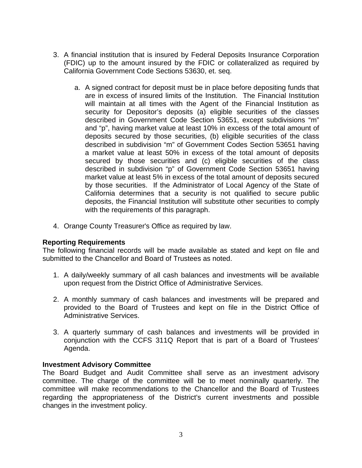- 3. A financial institution that is insured by Federal Deposits Insurance Corporation (FDIC) up to the amount insured by the FDIC or collateralized as required by California Government Code Sections 53630, et. seq.
	- a. A signed contract for deposit must be in place before depositing funds that are in excess of insured limits of the Institution. The Financial Institution will maintain at all times with the Agent of the Financial Institution as security for Depositor's deposits (a) eligible securities of the classes described in Government Code Section 53651, except subdivisions "m" and "p", having market value at least 10% in excess of the total amount of deposits secured by those securities, (b) eligible securities of the class described in subdivision "m" of Government Codes Section 53651 having a market value at least 50% in excess of the total amount of deposits secured by those securities and (c) eligible securities of the class described in subdivision "p" of Government Code Section 53651 having market value at least 5% in excess of the total amount of deposits secured by those securities. If the Administrator of Local Agency of the State of California determines that a security is not qualified to secure public deposits, the Financial Institution will substitute other securities to comply with the requirements of this paragraph.
- 4. Orange County Treasurer's Office as required by law.

## **Reporting Requirements**

The following financial records will be made available as stated and kept on file and submitted to the Chancellor and Board of Trustees as noted.

- 1. A daily/weekly summary of all cash balances and investments will be available upon request from the District Office of Administrative Services.
- 2. A monthly summary of cash balances and investments will be prepared and provided to the Board of Trustees and kept on file in the District Office of Administrative Services.
- 3. A quarterly summary of cash balances and investments will be provided in conjunction with the CCFS 311Q Report that is part of a Board of Trustees' Agenda.

#### **Investment Advisory Committee**

The Board Budget and Audit Committee shall serve as an investment advisory committee. The charge of the committee will be to meet nominally quarterly. The committee will make recommendations to the Chancellor and the Board of Trustees regarding the appropriateness of the District's current investments and possible changes in the investment policy.